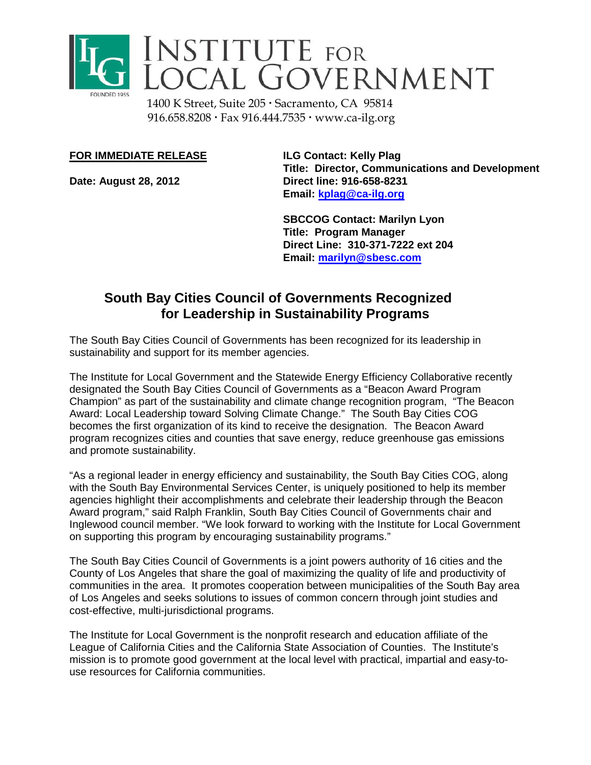

## INSTITUTE FOR<br>LOCAL GOVERNMENT

1400 K Street, Suite 205 · Sacramento, CA 95814 916.658.8208 · Fax 916.444.7535 · www.ca-ilg.org

## **FOR IMMEDIATE RELEASE ILG Contact: Kelly Plag**

**Title: Director, Communications and Development Date: August 28, 2012 Direct line: 916-658-8231 Email: [kplag@ca-ilg.org](mailto:kplag@ca-ilg.org)**

> **SBCCOG Contact: Marilyn Lyon Title: Program Manager Direct Line: 310-371-7222 ext 204 Email: [marilyn@sbesc.com](mailto:marilyn@sbesc.com)**

## **South Bay Cities Council of Governments Recognized for Leadership in Sustainability Programs**

The South Bay Cities Council of Governments has been recognized for its leadership in sustainability and support for its member agencies.

The Institute for Local Government and the Statewide Energy Efficiency Collaborative recently designated the South Bay Cities Council of Governments as a "Beacon Award Program Champion" as part of the sustainability and climate change recognition program, "The Beacon Award: Local Leadership toward Solving Climate Change." The South Bay Cities COG becomes the first organization of its kind to receive the designation. The Beacon Award program recognizes cities and counties that save energy, reduce greenhouse gas emissions and promote sustainability.

"As a regional leader in energy efficiency and sustainability, the South Bay Cities COG, along with the South Bay Environmental Services Center, is uniquely positioned to help its member agencies highlight their accomplishments and celebrate their leadership through the Beacon Award program," said Ralph Franklin, South Bay Cities Council of Governments chair and Inglewood council member. "We look forward to working with the Institute for Local Government on supporting this program by encouraging sustainability programs."

The South Bay Cities Council of Governments is a joint powers authority of 16 cities and the County of Los Angeles that share the goal of maximizing the quality of life and productivity of communities in the area. It promotes cooperation between municipalities of the South Bay area of Los Angeles and seeks solutions to issues of common concern through joint studies and cost-effective, multi-jurisdictional programs.

The Institute for Local Government is the nonprofit research and education affiliate of the League of California Cities and the California State Association of Counties. The Institute's mission is to promote good government at the local level with practical, impartial and easy-touse resources for California communities.